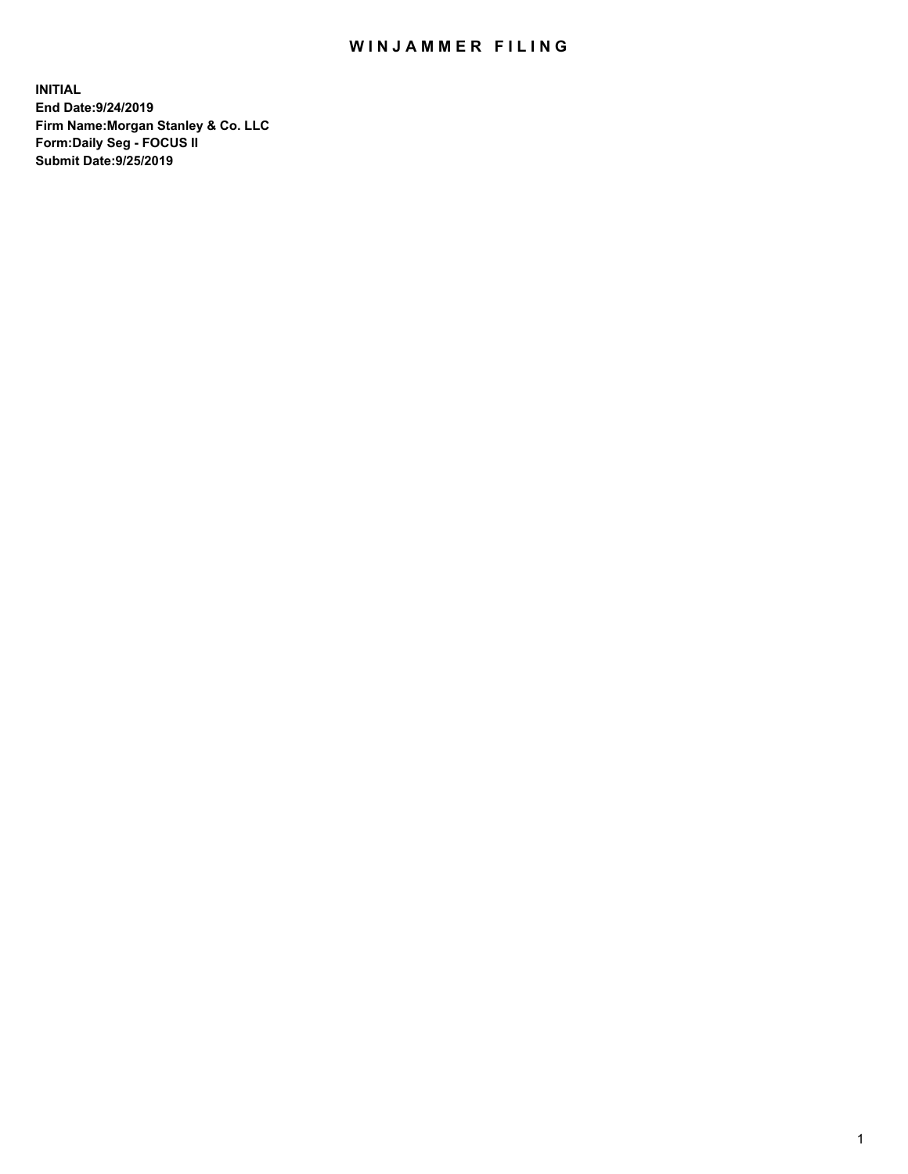## WIN JAMMER FILING

**INITIAL End Date:9/24/2019 Firm Name:Morgan Stanley & Co. LLC Form:Daily Seg - FOCUS II Submit Date:9/25/2019**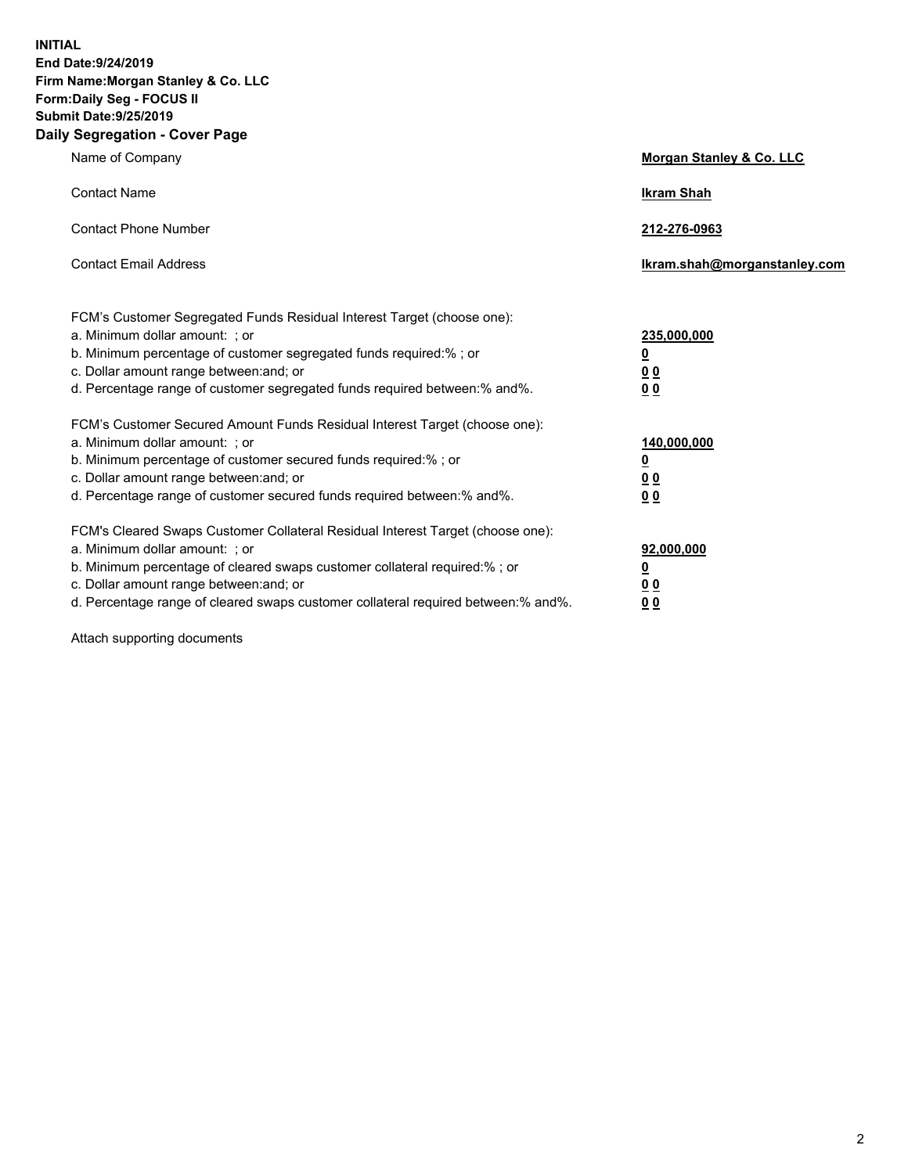**INITIAL End Date:9/24/2019 Firm Name:Morgan Stanley & Co. LLC Form:Daily Seg - FOCUS II Submit Date:9/25/2019 Daily Segregation - Cover Page**

| Name of Company                                                                                                                                                                                                                                                                                                                | Morgan Stanley & Co. LLC                                    |
|--------------------------------------------------------------------------------------------------------------------------------------------------------------------------------------------------------------------------------------------------------------------------------------------------------------------------------|-------------------------------------------------------------|
| <b>Contact Name</b>                                                                                                                                                                                                                                                                                                            | <b>Ikram Shah</b>                                           |
| <b>Contact Phone Number</b>                                                                                                                                                                                                                                                                                                    | 212-276-0963                                                |
| <b>Contact Email Address</b>                                                                                                                                                                                                                                                                                                   | Ikram.shah@morganstanley.com                                |
| FCM's Customer Segregated Funds Residual Interest Target (choose one):<br>a. Minimum dollar amount: ; or<br>b. Minimum percentage of customer segregated funds required:% ; or<br>c. Dollar amount range between: and; or<br>d. Percentage range of customer segregated funds required between:% and%.                         | 235,000,000<br><u>0</u><br>0 <sub>0</sub><br>0 <sub>0</sub> |
| FCM's Customer Secured Amount Funds Residual Interest Target (choose one):<br>a. Minimum dollar amount: ; or<br>b. Minimum percentage of customer secured funds required:%; or<br>c. Dollar amount range between: and; or<br>d. Percentage range of customer secured funds required between:% and%.                            | 140,000,000<br><u>0</u><br>0 <sub>0</sub><br>0 <sub>0</sub> |
| FCM's Cleared Swaps Customer Collateral Residual Interest Target (choose one):<br>a. Minimum dollar amount: ; or<br>b. Minimum percentage of cleared swaps customer collateral required:% ; or<br>c. Dollar amount range between: and; or<br>d. Percentage range of cleared swaps customer collateral required between:% and%. | 92,000,000<br><u>0</u><br><u>00</u><br>0 <sub>0</sub>       |

Attach supporting documents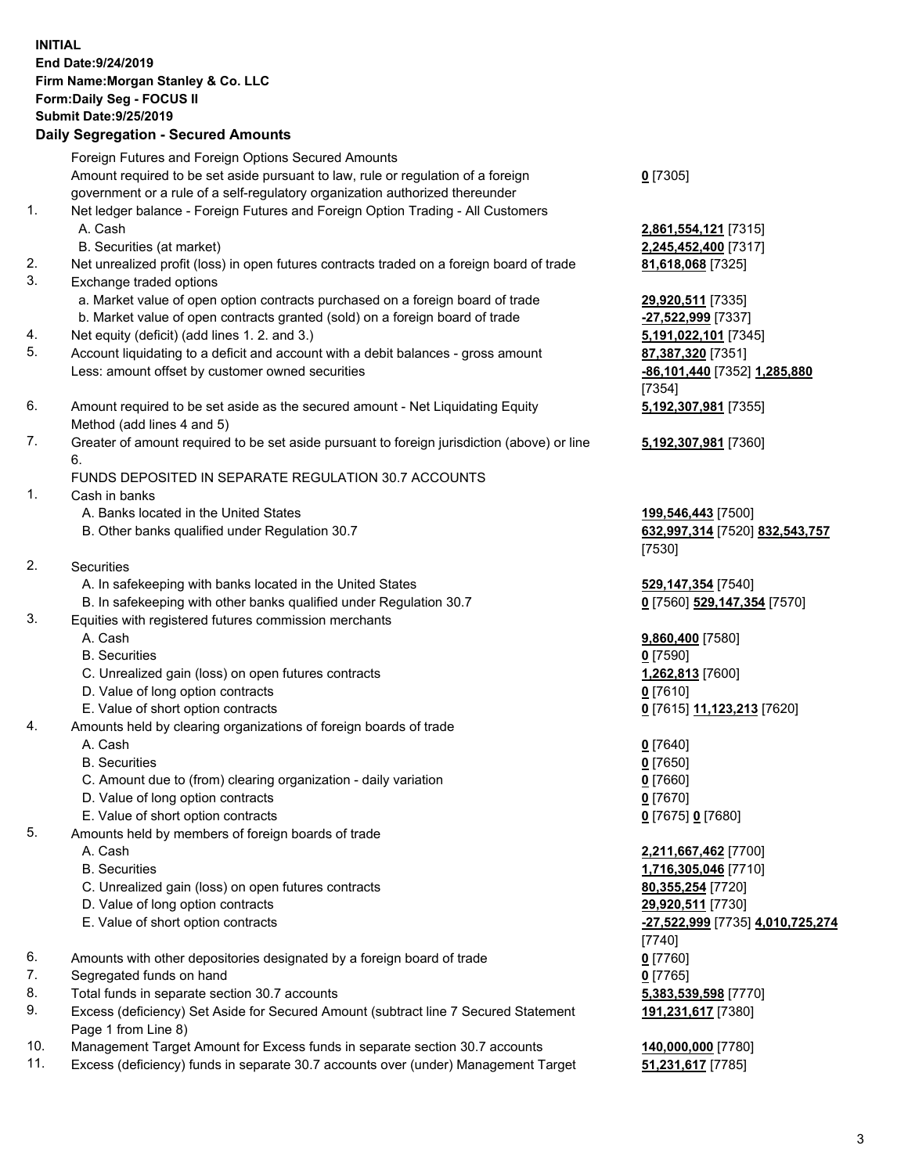## **INITIAL End Date:9/24/2019 Firm Name:Morgan Stanley & Co. LLC Form:Daily Seg - FOCUS II Submit Date:9/25/2019 Daily Segregation - Secured Amounts** Foreign Futures and Foreign Options Secured Amounts Amount required to be set aside pursuant to law, rule or regulation of a foreign government or a rule of a self-regulatory organization authorized thereunder **0** [7305] 1. Net ledger balance - Foreign Futures and Foreign Option Trading - All Customers A. Cash **2,861,554,121** [7315] B. Securities (at market) **2,245,452,400** [7317] 2. Net unrealized profit (loss) in open futures contracts traded on a foreign board of trade **81,618,068** [7325] 3. Exchange traded options a. Market value of open option contracts purchased on a foreign board of trade **29,920,511** [7335] b. Market value of open contracts granted (sold) on a foreign board of trade **-27,522,999** [7337] 4. Net equity (deficit) (add lines 1. 2. and 3.) **5,191,022,101** [7345] 5. Account liquidating to a deficit and account with a debit balances - gross amount **87,387,320** [7351] Less: amount offset by customer owned securities **-86,101,440** [7352] **1,285,880** [7354] 6. Amount required to be set aside as the secured amount - Net Liquidating Equity Method (add lines 4 and 5) **5,192,307,981** [7355] 7. Greater of amount required to be set aside pursuant to foreign jurisdiction (above) or line 6. **5,192,307,981** [7360] FUNDS DEPOSITED IN SEPARATE REGULATION 30.7 ACCOUNTS 1. Cash in banks A. Banks located in the United States **199,546,443** [7500] B. Other banks qualified under Regulation 30.7 **632,997,314** [7520] **832,543,757** [7530] 2. Securities A. In safekeeping with banks located in the United States **529,147,354** [7540] B. In safekeeping with other banks qualified under Regulation 30.7 **0** [7560] **529,147,354** [7570] 3. Equities with registered futures commission merchants A. Cash **9,860,400** [7580] B. Securities **0** [7590] C. Unrealized gain (loss) on open futures contracts **1,262,813** [7600] D. Value of long option contracts **0** [7610] E. Value of short option contracts **0** [7615] **11,123,213** [7620] 4. Amounts held by clearing organizations of foreign boards of trade A. Cash **0** [7640] B. Securities **0** [7650] C. Amount due to (from) clearing organization - daily variation **0** [7660] D. Value of long option contracts **0** [7670] E. Value of short option contracts **0** [7675] **0** [7680] 5. Amounts held by members of foreign boards of trade A. Cash **2,211,667,462** [7700] B. Securities **1,716,305,046** [7710] C. Unrealized gain (loss) on open futures contracts **80,355,254** [7720] D. Value of long option contracts **29,920,511** [7730] E. Value of short option contracts **-27,522,999** [7735] **4,010,725,274** [7740] 6. Amounts with other depositories designated by a foreign board of trade **0** [7760] 7. Segregated funds on hand **0** [7765] 8. Total funds in separate section 30.7 accounts **5,383,539,598** [7770] 9. Excess (deficiency) Set Aside for Secured Amount (subtract line 7 Secured Statement Page 1 from Line 8) **191,231,617** [7380]

- 10. Management Target Amount for Excess funds in separate section 30.7 accounts **140,000,000** [7780]
- 11. Excess (deficiency) funds in separate 30.7 accounts over (under) Management Target **51,231,617** [7785]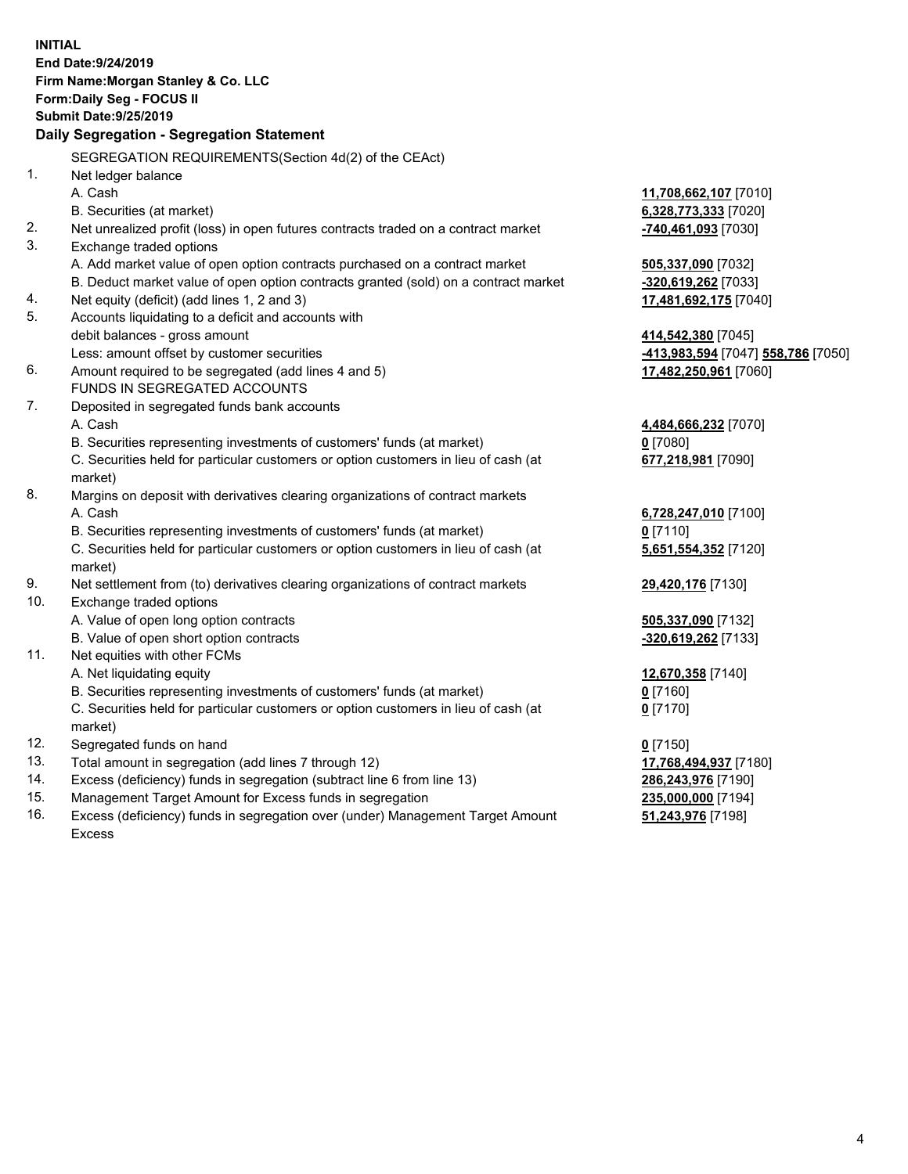|                | <b>INITIAL</b>                                                                      |                                           |
|----------------|-------------------------------------------------------------------------------------|-------------------------------------------|
|                | End Date: 9/24/2019                                                                 |                                           |
|                | Firm Name: Morgan Stanley & Co. LLC                                                 |                                           |
|                | Form: Daily Seg - FOCUS II                                                          |                                           |
|                | <b>Submit Date: 9/25/2019</b>                                                       |                                           |
|                | Daily Segregation - Segregation Statement                                           |                                           |
|                | SEGREGATION REQUIREMENTS(Section 4d(2) of the CEAct)                                |                                           |
| 1 <sub>1</sub> | Net ledger balance                                                                  |                                           |
|                | A. Cash                                                                             | 11,708,662,107 [7010]                     |
|                | B. Securities (at market)                                                           | 6,328,773,333 [7020]                      |
| 2.             | Net unrealized profit (loss) in open futures contracts traded on a contract market  | -740,461,093 [7030]                       |
| 3.             | Exchange traded options                                                             |                                           |
|                | A. Add market value of open option contracts purchased on a contract market         | 505,337,090 [7032]                        |
|                | B. Deduct market value of open option contracts granted (sold) on a contract market | -320,619,262 [7033]                       |
| 4.             | Net equity (deficit) (add lines 1, 2 and 3)                                         | 17,481,692,175 [7040]                     |
| 5.             | Accounts liquidating to a deficit and accounts with                                 |                                           |
|                | debit balances - gross amount                                                       | 414,542,380 [7045]                        |
|                | Less: amount offset by customer securities                                          | -413,983,594 [7047] 558,786 [7050]        |
| 6.             | Amount required to be segregated (add lines 4 and 5)                                | 17,482,250,961 [7060]                     |
|                | FUNDS IN SEGREGATED ACCOUNTS                                                        |                                           |
| 7.             | Deposited in segregated funds bank accounts                                         |                                           |
|                | A. Cash                                                                             | 4,484,666,232 [7070]                      |
|                | B. Securities representing investments of customers' funds (at market)              | $0$ [7080]                                |
|                | C. Securities held for particular customers or option customers in lieu of cash (at | 677,218,981 [7090]                        |
|                | market)                                                                             |                                           |
| 8.             | Margins on deposit with derivatives clearing organizations of contract markets      |                                           |
|                | A. Cash                                                                             | 6,728,247,010 [7100]                      |
|                | B. Securities representing investments of customers' funds (at market)              | $0$ [7110]                                |
|                | C. Securities held for particular customers or option customers in lieu of cash (at | 5,651,554,352 [7120]                      |
|                | market)                                                                             |                                           |
| 9.<br>10.      | Net settlement from (to) derivatives clearing organizations of contract markets     | 29,420,176 [7130]                         |
|                | Exchange traded options                                                             |                                           |
|                | A. Value of open long option contracts<br>B. Value of open short option contracts   | 505,337,090 [7132]<br>-320,619,262 [7133] |
| 11.            | Net equities with other FCMs                                                        |                                           |
|                | A. Net liquidating equity                                                           | 12,670,358 [7140]                         |
|                | B. Securities representing investments of customers' funds (at market)              | $0$ [7160]                                |
|                | C. Securities held for particular customers or option customers in lieu of cash (at | $0$ [7170]                                |
|                | market)                                                                             |                                           |
| 12.            | Segregated funds on hand                                                            | $0$ [7150]                                |
| 13.            | Total amount in segregation (add lines 7 through 12)                                | 17,768,494,937 [7180]                     |
| 14.            | Excess (deficiency) funds in segregation (subtract line 6 from line 13)             | 286,243,976 [7190]                        |
| 15.            | Management Target Amount for Excess funds in segregation                            | 235,000,000 [7194]                        |
| 16.            | Excess (deficiency) funds in segregation over (under) Management Target Amount      | 51,243,976 [7198]                         |

Excess